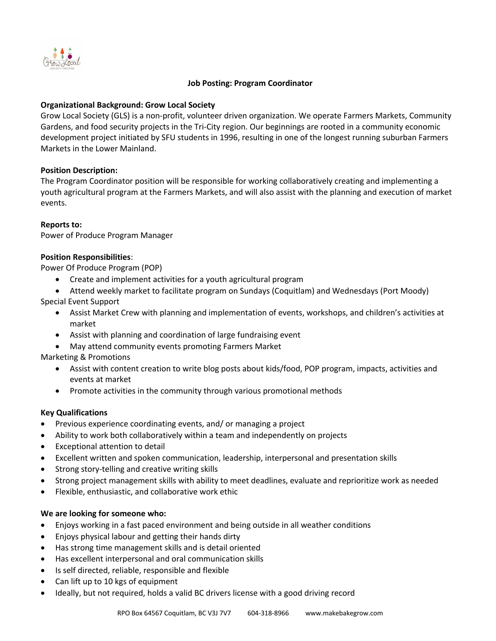

### **Job Posting: Program Coordinator**

## **Organizational Background: Grow Local Society**

Grow Local Society (GLS) is a non-profit, volunteer driven organization. We operate Farmers Markets, Community Gardens, and food security projects in the Tri-City region. Our beginnings are rooted in a community economic development project initiated by SFU students in 1996, resulting in one of the longest running suburban Farmers Markets in the Lower Mainland.

# **Position Description:**

The Program Coordinator position will be responsible for working collaboratively creating and implementing a youth agricultural program at the Farmers Markets, and will also assist with the planning and execution of market events.

### **Reports to:**

Power of Produce Program Manager

### **Position Responsibilities**:

Power Of Produce Program (POP)

- Create and implement activities for a youth agricultural program
- Attend weekly market to facilitate program on Sundays (Coquitlam) and Wednesdays (Port Moody)

Special Event Support

- Assist Market Crew with planning and implementation of events, workshops, and children's activities at market
- Assist with planning and coordination of large fundraising event
- May attend community events promoting Farmers Market

Marketing & Promotions

- Assist with content creation to write blog posts about kids/food, POP program, impacts, activities and events at market
- Promote activities in the community through various promotional methods

# **Key Qualifications**

- Previous experience coordinating events, and/ or managing a project
- Ability to work both collaboratively within a team and independently on projects
- Exceptional attention to detail
- Excellent written and spoken communication, leadership, interpersonal and presentation skills
- Strong story-telling and creative writing skills
- Strong project management skills with ability to meet deadlines, evaluate and reprioritize work as needed
- Flexible, enthusiastic, and collaborative work ethic

# **We are looking for someone who:**

- Enjoys working in a fast paced environment and being outside in all weather conditions
- Enjoys physical labour and getting their hands dirty
- Has strong time management skills and is detail oriented
- Has excellent interpersonal and oral communication skills
- Is self directed, reliable, responsible and flexible
- Can lift up to 10 kgs of equipment
- Ideally, but not required, holds a valid BC drivers license with a good driving record